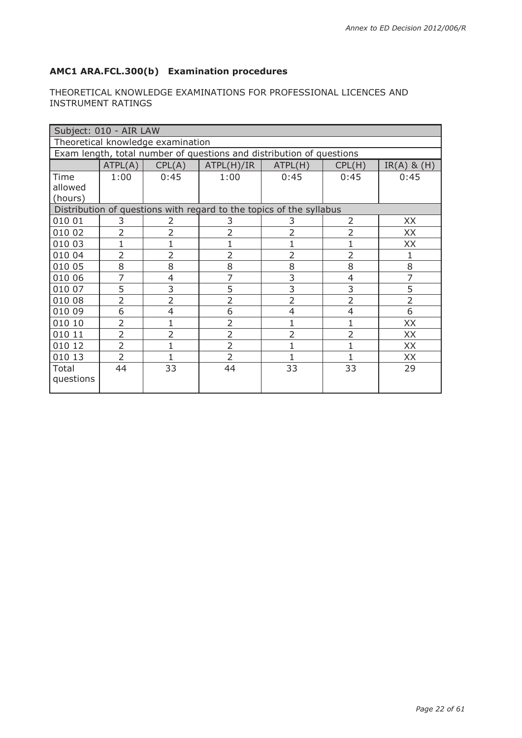## **AMC1 ARA.FCL.300(b) Examination procedures**

## THEORETICAL KNOWLEDGE EXAMINATIONS FOR PROFESSIONAL LICENCES AND INSTRUMENT RATINGS

|                                   | Subject: 010 - AIR LAW |                |                                                                      |                |                          |                 |  |
|-----------------------------------|------------------------|----------------|----------------------------------------------------------------------|----------------|--------------------------|-----------------|--|
| Theoretical knowledge examination |                        |                |                                                                      |                |                          |                 |  |
|                                   |                        |                | Exam length, total number of questions and distribution of questions |                |                          |                 |  |
|                                   | ATPL(A)                | CPL(A)         | ATPL(H)/IR                                                           | ATPL(H)        | CPL(H)                   | $IR(A)$ & $(H)$ |  |
| Time                              | 1:00                   | 0:45           | 1:00                                                                 | 0:45           | 0:45                     | 0:45            |  |
| allowed                           |                        |                |                                                                      |                |                          |                 |  |
| (hours)                           |                        |                |                                                                      |                |                          |                 |  |
|                                   |                        |                | Distribution of questions with regard to the topics of the syllabus  |                |                          |                 |  |
| 010 01                            | 3                      | 2              | 3                                                                    | 3              | 2                        | XX              |  |
| 010 02                            | $\overline{2}$         | $\overline{2}$ | $\overline{2}$                                                       | $\overline{2}$ | $\overline{\phantom{a}}$ | XX              |  |
| 010 03                            | 1                      |                | $\mathbf{1}$                                                         | 1              |                          | XX              |  |
| 010 04                            | $\overline{2}$         | $\overline{2}$ | $\overline{2}$                                                       | $\overline{2}$ | 2                        | 1               |  |
| 010 05                            | 8                      | 8              | 8                                                                    | 8              | 8                        | 8               |  |
| 010 06                            | 7                      | $\overline{4}$ | $\overline{7}$                                                       | $\overline{3}$ | 4                        | $\overline{7}$  |  |
| 010 07                            | 5                      | 3              | 5                                                                    | $\overline{3}$ | 3                        | 5               |  |
| 010 08                            | $\overline{2}$         | $\overline{2}$ | $\overline{2}$                                                       | $\overline{2}$ | $\overline{2}$           | $\overline{2}$  |  |
| 010 09                            | 6                      | 4              | 6                                                                    | $\overline{4}$ | 4                        | 6               |  |
| 010 10                            | $\overline{2}$         | 1              | $\overline{2}$                                                       | $\mathbf{1}$   | 1                        | XX              |  |
| 010 11                            | $\overline{2}$         | $\overline{2}$ | $\overline{2}$                                                       | $\overline{2}$ | $\overline{2}$           | XX              |  |
| 010 12                            | $\overline{2}$         |                | $\overline{2}$                                                       | 1              |                          | XX              |  |
| 010 13                            | $\overline{2}$         |                | $\overline{2}$                                                       | 1              | 1                        | XX              |  |
| Total                             | 44                     | 33             | 44                                                                   | 33             | 33                       | 29              |  |
| questions                         |                        |                |                                                                      |                |                          |                 |  |
|                                   |                        |                |                                                                      |                |                          |                 |  |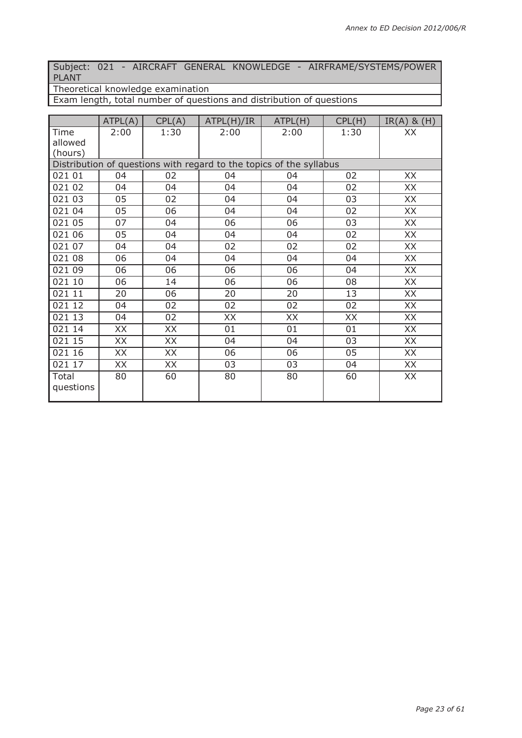Subject: 021 - AIRCRAFT GENERAL KNOWLEDGE - AIRFRAME/SYSTEMS/POWER PLANT

Theoretical knowledge examination

Exam length, total number of questions and distribution of questions

|                                                                     | ATPL(A) | CPL(A) | ATPL(H)/IR | ATPL(H) | CPL(H) | $IR(A)$ & $(H)$ |  |  |
|---------------------------------------------------------------------|---------|--------|------------|---------|--------|-----------------|--|--|
| Time                                                                | 2:00    | 1:30   | 2:00       | 2:00    | 1:30   | XX              |  |  |
| allowed                                                             |         |        |            |         |        |                 |  |  |
| (hours)                                                             |         |        |            |         |        |                 |  |  |
| Distribution of questions with regard to the topics of the syllabus |         |        |            |         |        |                 |  |  |
| 021 01                                                              | 04      | 02     | 04         | 04      | 02     | XX              |  |  |
| 021 02                                                              | 04      | 04     | 04         | 04      | 02     | XX              |  |  |
| 021 03                                                              | 05      | 02     | 04         | 04      | 03     | XX              |  |  |
| 021 04                                                              | 05      | 06     | 04         | 04      | 02     | XX              |  |  |
| 021 05                                                              | 07      | 04     | 06         | 06      | 03     | XX              |  |  |
| 021 06                                                              | 05      | 04     | 04         | 04      | 02     | XX              |  |  |
| 021 07                                                              | 04      | 04     | 02         | 02      | 02     | XX              |  |  |
| 021 08                                                              | 06      | 04     | 04         | 04      | 04     | XX              |  |  |
| 021 09                                                              | 06      | 06     | 06         | 06      | 04     | XX              |  |  |
| 021 10                                                              | 06      | 14     | 06         | 06      | 08     | XX              |  |  |
| 021 11                                                              | 20      | 06     | 20         | 20      | 13     | XX              |  |  |
| 021 12                                                              | 04      | 02     | 02         | 02      | 02     | XX              |  |  |
| 021 13                                                              | 04      | 02     | XX         | XX      | XX     | XX              |  |  |
| 021 14                                                              | XX      | XX     | 01         | 01      | 01     | XX              |  |  |
| 021 15                                                              | XX      | XX     | 04         | 04      | 03     | XX              |  |  |
| 021 16                                                              | XX      | XX     | 06         | 06      | 05     | XX              |  |  |
| 021 17                                                              | XX      | XX     | 03         | 03      | 04     | XX              |  |  |
| Total<br>questions                                                  | 80      | 60     | 80         | 80      | 60     | XX              |  |  |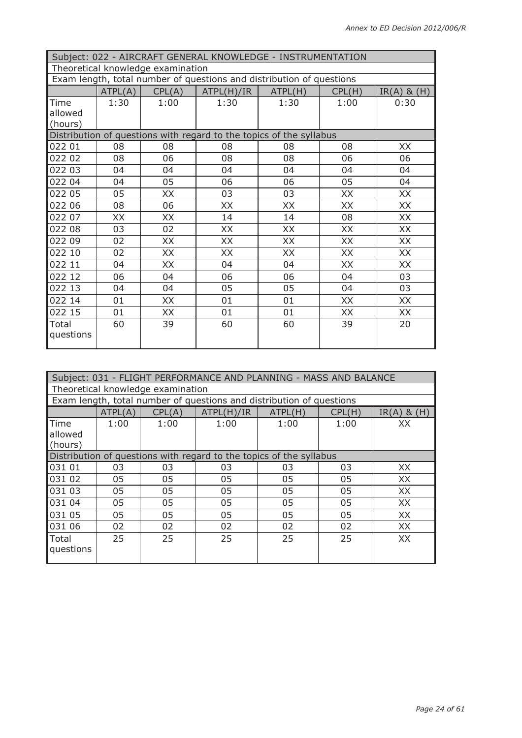|           | Subject: 022 - AIRCRAFT GENERAL KNOWLEDGE - INSTRUMENTATION             |      |                                                                     |      |      |           |  |  |
|-----------|-------------------------------------------------------------------------|------|---------------------------------------------------------------------|------|------|-----------|--|--|
|           | Theoretical knowledge examination                                       |      |                                                                     |      |      |           |  |  |
|           | Exam length, total number of questions and distribution of questions    |      |                                                                     |      |      |           |  |  |
|           | ATPL(A)<br>CPL(A)<br>ATPL(H)/IR<br>ATPL(H)<br>CPL(H)<br>$IR(A)$ & $(H)$ |      |                                                                     |      |      |           |  |  |
| Time      | 1:30                                                                    | 1:00 | 1:30                                                                | 1:30 | 1:00 | 0:30      |  |  |
| allowed   |                                                                         |      |                                                                     |      |      |           |  |  |
| (hours)   |                                                                         |      |                                                                     |      |      |           |  |  |
|           |                                                                         |      | Distribution of questions with regard to the topics of the syllabus |      |      |           |  |  |
| 022 01    | 08                                                                      | 08   | 08                                                                  | 08   | 08   | XX        |  |  |
| 022 02    | 08                                                                      | 06   | 08                                                                  | 08   | 06   | 06        |  |  |
| 022 03    | 04                                                                      | 04   | 04                                                                  | 04   | 04   | 04        |  |  |
| 022 04    | 04                                                                      | 05   | 06                                                                  | 06   | 05   | 04        |  |  |
| 022 05    | 05                                                                      | XX   | 03                                                                  | 03   | XX   | XX        |  |  |
| 022 06    | 08                                                                      | 06   | XX                                                                  | XX   | XX   | XX        |  |  |
| 022 07    | XX                                                                      | XX   | 14                                                                  | 14   | 08   | XX        |  |  |
| 022 08    | 03                                                                      | 02   | XX                                                                  | XX   | XX   | XX        |  |  |
| 022 09    | 02                                                                      | XX   | XX                                                                  | XX   | XX   | XX        |  |  |
| 022 10    | 02                                                                      | XX   | XX                                                                  | XX   | XX   | <b>XX</b> |  |  |
| 022 11    | 04                                                                      | XX   | 04                                                                  | 04   | XX   | XX        |  |  |
| 022 12    | 06                                                                      | 04   | 06                                                                  | 06   | 04   | 03        |  |  |
| 022 13    | 04                                                                      | 04   | 05                                                                  | 05   | 04   | 03        |  |  |
| 022 14    | 01                                                                      | XX   | 01                                                                  | 01   | XX   | <b>XX</b> |  |  |
| 022 15    | 01                                                                      | XX   | 01                                                                  | 01   | XX   | XX        |  |  |
| Total     | 60                                                                      | 39   | 60                                                                  | 60   | 39   | 20        |  |  |
| questions |                                                                         |      |                                                                     |      |      |           |  |  |

| Subject: 031 - FLIGHT PERFORMANCE AND PLANNING - MASS AND BALANCE |         |        |                                                                      |         |        |                 |  |
|-------------------------------------------------------------------|---------|--------|----------------------------------------------------------------------|---------|--------|-----------------|--|
| Theoretical knowledge examination                                 |         |        |                                                                      |         |        |                 |  |
|                                                                   |         |        | Exam length, total number of questions and distribution of questions |         |        |                 |  |
|                                                                   | ATPL(A) | CPL(A) | ATPL(H)/IR                                                           | ATPL(H) | CPL(H) | $IR(A)$ & $(H)$ |  |
| Time                                                              | 1:00    | 1:00   | 1:00                                                                 | 1:00    | 1:00   | XX              |  |
| allowed                                                           |         |        |                                                                      |         |        |                 |  |
| $ $ (hours)                                                       |         |        |                                                                      |         |        |                 |  |
|                                                                   |         |        | Distribution of questions with regard to the topics of the syllabus  |         |        |                 |  |
| 031 01                                                            | 03      | 03     | 03                                                                   | 03      | 03     | XX              |  |
| 031 02                                                            | 05      | 05     | 05                                                                   | 05      | 05     | XX              |  |
| 1031 03                                                           | 05      | 05     | 05                                                                   | 05      | 05     | XX              |  |
| 031 04                                                            | 05      | 05     | 05                                                                   | 05      | 05     | XX              |  |
| 031 05                                                            | 05      | 05     | 05                                                                   | 05      | 05     | XX              |  |
| 031 06                                                            | 02      | 02     | 02                                                                   | 02      | 02     | XX.             |  |
| Total                                                             | 25      | 25     | 25                                                                   | 25      | 25     | XX              |  |
| questions                                                         |         |        |                                                                      |         |        |                 |  |
|                                                                   |         |        |                                                                      |         |        |                 |  |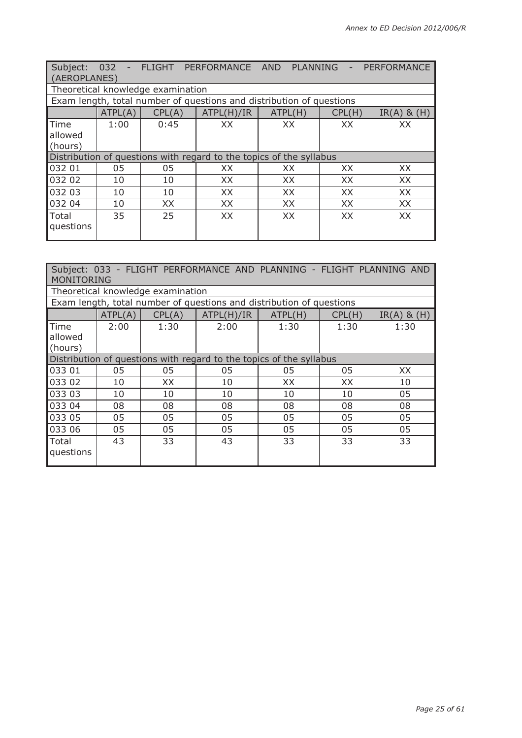| Subject:<br>(AEROPLANES)       |         |                                   | 032 - FLIGHT PERFORMANCE AND PLANNING                                |           | $\overline{\phantom{a}}$ | PERFORMANCE     |
|--------------------------------|---------|-----------------------------------|----------------------------------------------------------------------|-----------|--------------------------|-----------------|
|                                |         | Theoretical knowledge examination |                                                                      |           |                          |                 |
|                                |         |                                   | Exam length, total number of questions and distribution of questions |           |                          |                 |
|                                | ATPL(A) | CPL(A)                            | ATPL(H)/IR                                                           | ATPL(H)   | CPL(H)                   | $IR(A)$ & $(H)$ |
| Time<br>allowed<br>$ $ (hours) | 1:00    | 0:45                              | XX                                                                   | XX        | XX                       | XX              |
|                                |         |                                   | Distribution of questions with regard to the topics of the syllabus  |           |                          |                 |
| 032 01                         | 05      | 05                                | XX                                                                   | XX.       | XX.                      | XX.             |
| 032 02                         | 10      | 10                                | XX                                                                   | XX        | XX.                      | XX              |
| 032 03                         | 10      | 10                                | XX                                                                   | XX        | XX                       | XX              |
| 032 04                         | 10      | XX                                | XX                                                                   | XX        | XX                       | XX              |
| Total<br>questions             | 35      | 25                                | XX                                                                   | <b>XX</b> | XX.                      | XX              |

| Subject: 033 - FLIGHT PERFORMANCE AND PLANNING - FLIGHT PLANNING AND<br><b>MONITORING</b> |         |                                   |                                                                      |         |        |                 |  |
|-------------------------------------------------------------------------------------------|---------|-----------------------------------|----------------------------------------------------------------------|---------|--------|-----------------|--|
|                                                                                           |         | Theoretical knowledge examination |                                                                      |         |        |                 |  |
|                                                                                           |         |                                   | Exam length, total number of questions and distribution of questions |         |        |                 |  |
|                                                                                           | ATPL(A) | CPL(A)                            | ATPL(H)/IR                                                           | ATPL(H) | CPL(H) | $IR(A)$ & $(H)$ |  |
| Time<br>allowed<br>(hours)                                                                | 2:00    | 1:30                              | 2:00                                                                 | 1:30    | 1:30   | 1:30            |  |
|                                                                                           |         |                                   | Distribution of questions with regard to the topics of the syllabus  |         |        |                 |  |
| 033 01                                                                                    | 05      | 05                                | 05                                                                   | 05      | 05     | XX.             |  |
| 033 02                                                                                    | 10      | XX                                | 10                                                                   | XX      | XX     | 10              |  |
| 033 03                                                                                    | 10      | 10                                | 10                                                                   | 10      | 10     | 05              |  |
| 033 04                                                                                    | 08      | 08                                | 08                                                                   | 08      | 08     | 08              |  |
| 033 05                                                                                    | 05      | 05                                | 05                                                                   | 05      | 05     | 05              |  |
| 033 06                                                                                    | 05      | 05                                | 05                                                                   | 05      | 05     | 05              |  |
| Total<br>questions                                                                        | 43      | 33                                | 43                                                                   | 33      | 33     | 33              |  |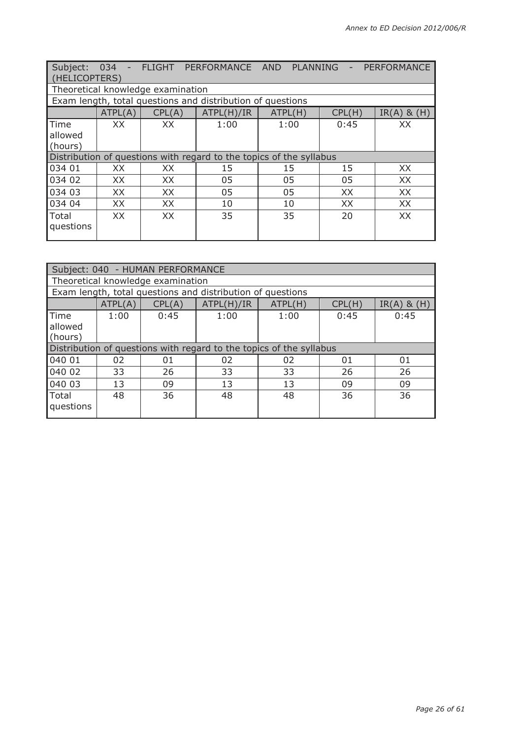| Subject:<br>(HELICOPTERS) | 034<br>$\sim$ |                                   | FLIGHT PERFORMANCE AND                                              | PLANNING | $\overline{\phantom{a}}$ | PERFORMANCE     |
|---------------------------|---------------|-----------------------------------|---------------------------------------------------------------------|----------|--------------------------|-----------------|
|                           |               | Theoretical knowledge examination |                                                                     |          |                          |                 |
|                           |               |                                   | Exam length, total questions and distribution of questions          |          |                          |                 |
|                           | ATPL(A)       | CPL(A)                            | ATPL(H)/IR                                                          | ATPL(H)  | CPL(H)                   | $IR(A)$ & $(H)$ |
| Time                      | XX            | XX                                | 1:00                                                                | 1:00     | 0:45                     | XX              |
| allowed                   |               |                                   |                                                                     |          |                          |                 |
| $ $ (hours)               |               |                                   |                                                                     |          |                          |                 |
|                           |               |                                   | Distribution of questions with regard to the topics of the syllabus |          |                          |                 |
| 034 01                    | XX            | XX                                | 15                                                                  | 15       | 15                       | XX              |
| 034 02                    | XX.           | XX.                               | 05                                                                  | 05       | 05                       | XX.             |
| 034 03                    | XX            | XX                                | 05                                                                  | 05       | XX.                      | XX              |
| 034 04                    | XX            | XX                                | 10                                                                  | 10       | XX                       | XX              |
| Total                     | XX.           | XX                                | 35                                                                  | 35       | 20                       | XX              |
| questions                 |               |                                   |                                                                     |          |                          |                 |

|           | Subject: 040 - HUMAN PERFORMANCE  |        |                                                                     |         |        |                 |
|-----------|-----------------------------------|--------|---------------------------------------------------------------------|---------|--------|-----------------|
|           | Theoretical knowledge examination |        |                                                                     |         |        |                 |
|           |                                   |        | Exam length, total questions and distribution of questions          |         |        |                 |
|           | ATPL(A)                           | CPL(A) | ATPL(H)/IR                                                          | ATPL(H) | CPL(H) | $IR(A)$ & $(H)$ |
| Time      | 1:00                              | 0:45   | 1:00                                                                | 1:00    | 0:45   | 0:45            |
| allowed   |                                   |        |                                                                     |         |        |                 |
| (hours)   |                                   |        |                                                                     |         |        |                 |
|           |                                   |        | Distribution of questions with regard to the topics of the syllabus |         |        |                 |
| 040 01    | 02                                | 01     | 02                                                                  | 02      | 01     | 01              |
| 040 02    | 33                                | 26     | 33                                                                  | 33      | 26     | 26              |
| 040 03    | 13                                | 09     | 13                                                                  | 13      | 09     | 09              |
| Total     | 48                                | 36     | 48                                                                  | 48      | 36     | 36              |
| questions |                                   |        |                                                                     |         |        |                 |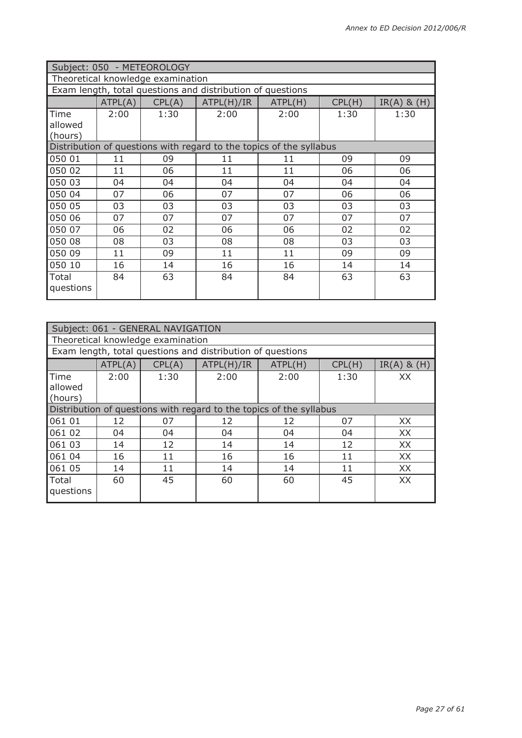|           | Subject: 050 - METEOROLOGY        |        |                                                                     |         |        |                 |  |
|-----------|-----------------------------------|--------|---------------------------------------------------------------------|---------|--------|-----------------|--|
|           | Theoretical knowledge examination |        |                                                                     |         |        |                 |  |
|           |                                   |        | Exam length, total questions and distribution of questions          |         |        |                 |  |
|           | ATPL(A)                           | CPL(A) | ATPL(H)/IR                                                          | ATPL(H) | CPL(H) | $IR(A)$ & $(H)$ |  |
| Time      | 2:00                              | 1:30   | 2:00                                                                | 2:00    | 1:30   | 1:30            |  |
| allowed   |                                   |        |                                                                     |         |        |                 |  |
| (hours)   |                                   |        |                                                                     |         |        |                 |  |
|           |                                   |        | Distribution of questions with regard to the topics of the syllabus |         |        |                 |  |
| 050 01    | 11                                | 09     | 11                                                                  | 11      | 09     | 09              |  |
| 050 02    | 11                                | 06     | 11                                                                  | 11      | 06     | 06              |  |
| 050 03    | 04                                | 04     | 04                                                                  | 04      | 04     | 04              |  |
| 050 04    | 07                                | 06     | 07                                                                  | 07      | 06     | 06              |  |
| 050 05    | 03                                | 03     | 03                                                                  | 03      | 03     | 03              |  |
| 050 06    | 07                                | 07     | 07                                                                  | 07      | 07     | 07              |  |
| 050 07    | 06                                | 02     | 06                                                                  | 06      | 02     | 02              |  |
| 050 08    | 08                                | 03     | 08                                                                  | 08      | 03     | 03              |  |
| 050 09    | 11                                | 09     | 11                                                                  | 11      | 09     | 09              |  |
| 050 10    | 16                                | 14     | 16                                                                  | 16      | 14     | 14              |  |
| Total     | 84                                | 63     | 84                                                                  | 84      | 63     | 63              |  |
| questions |                                   |        |                                                                     |         |        |                 |  |

| Subject: 061 - GENERAL NAVIGATION |                                   |        |                                                                     |         |        |                 |  |  |
|-----------------------------------|-----------------------------------|--------|---------------------------------------------------------------------|---------|--------|-----------------|--|--|
|                                   | Theoretical knowledge examination |        |                                                                     |         |        |                 |  |  |
|                                   |                                   |        | Exam length, total questions and distribution of questions          |         |        |                 |  |  |
|                                   | ATPL(A)                           | CPL(A) | ATPL(H)/IR                                                          | ATPL(H) | CPL(H) | $IR(A)$ & $(H)$ |  |  |
| Time<br>allowed<br>(hours)        | 2:00                              | 1:30   | 2:00                                                                | 2:00    | 1:30   | XX              |  |  |
|                                   |                                   |        | Distribution of questions with regard to the topics of the syllabus |         |        |                 |  |  |
| 061 01                            | 12                                | 07     | 12                                                                  | 12      | 07     | XX              |  |  |
| 061 02                            | 04                                | 04     | 04                                                                  | 04      | 04     | XX              |  |  |
| 061 03                            | 14                                | 12     | 14                                                                  | 14      | 12     | XX              |  |  |
| 061 04                            | 16                                | 11     | 16                                                                  | 16      | 11     | XX              |  |  |
| 061 05                            | 14                                | 11     | 14                                                                  | 14      | 11     | XX              |  |  |
| Total<br>questions                | 60                                | 45     | 60                                                                  | 60      | 45     | XX              |  |  |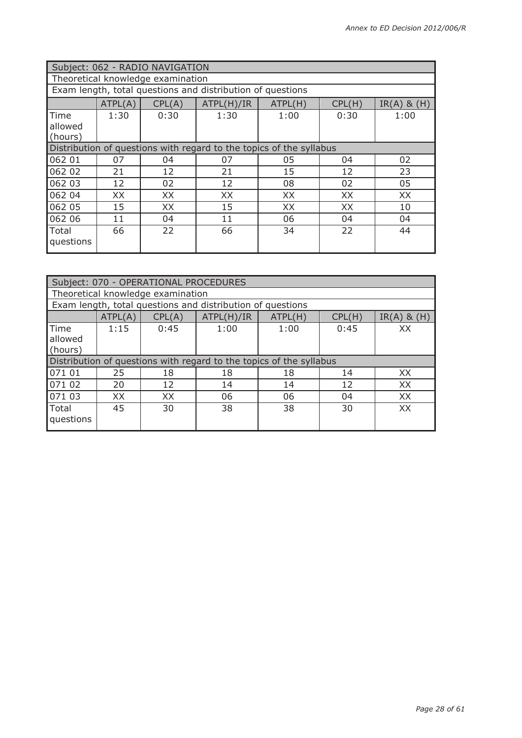| Subject: 062 - RADIO NAVIGATION   |                                                                     |        |                                                            |         |        |                 |  |
|-----------------------------------|---------------------------------------------------------------------|--------|------------------------------------------------------------|---------|--------|-----------------|--|
| Theoretical knowledge examination |                                                                     |        |                                                            |         |        |                 |  |
|                                   |                                                                     |        | Exam length, total questions and distribution of questions |         |        |                 |  |
|                                   | ATPL(A)                                                             | CPL(A) | ATPL(H)/IR                                                 | ATPL(H) | CPL(H) | $IR(A)$ & $(H)$ |  |
| Time<br>allowed<br>(hours)        | 1:30                                                                | 0:30   | 1:30                                                       | 1:00    | 0:30   | 1:00            |  |
|                                   | Distribution of questions with regard to the topics of the syllabus |        |                                                            |         |        |                 |  |
| 062 01                            | 07                                                                  | 04     | 07                                                         | 05      | 04     | 02              |  |
| 062 02                            | 21                                                                  | 12     | 21                                                         | 15      | 12     | 23              |  |
| 062 03                            | 12                                                                  | 02     | 12                                                         | 08      | 02     | 05              |  |
| 062 04                            | XX                                                                  | XX     | XX                                                         | XX      | XX     | XX              |  |
| 062 05                            | 15                                                                  | XX     | 15                                                         | XX      | XX     | 10              |  |
| 062 06                            | 11                                                                  | 04     | 11                                                         | 06      | 04     | 04              |  |
| Total<br>questions                | 66                                                                  | 22     | 66                                                         | 34      | 22     | 44              |  |

|                            | Subject: 070 - OPERATIONAL PROCEDURES |        |                                                                     |         |        |                 |  |
|----------------------------|---------------------------------------|--------|---------------------------------------------------------------------|---------|--------|-----------------|--|
|                            | Theoretical knowledge examination     |        |                                                                     |         |        |                 |  |
|                            |                                       |        | Exam length, total questions and distribution of questions          |         |        |                 |  |
|                            | ATPL(A)                               | CPL(A) | ATPL(H)/IR                                                          | ATPL(H) | CPL(H) | $IR(A)$ & $(H)$ |  |
| Time<br>allowed<br>(hours) | 1:15                                  | 0:45   | 1:00                                                                | 1:00    | 0:45   | XX              |  |
|                            |                                       |        | Distribution of questions with regard to the topics of the syllabus |         |        |                 |  |
| 071 01                     | 25                                    | 18     | 18                                                                  | 18      | 14     | XX              |  |
| 071 02                     | 20                                    | 12     | 14                                                                  | 14      | 12     | XX              |  |
| 071 03                     | XX                                    | XX     | 06                                                                  | 06      | 04     | XX              |  |
| Total<br>questions         | 45                                    | 30     | 38                                                                  | 38      | 30     | <b>XX</b>       |  |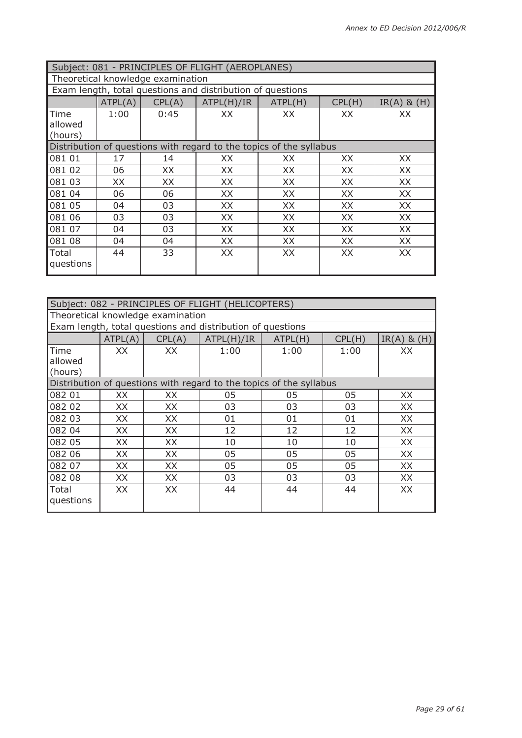| Subject: 081 - PRINCIPLES OF FLIGHT (AEROPLANES)           |                                                                     |        |            |           |           |                 |  |  |
|------------------------------------------------------------|---------------------------------------------------------------------|--------|------------|-----------|-----------|-----------------|--|--|
| Theoretical knowledge examination                          |                                                                     |        |            |           |           |                 |  |  |
| Exam length, total questions and distribution of questions |                                                                     |        |            |           |           |                 |  |  |
|                                                            | ATPL(A)                                                             | CPL(A) | ATPL(H)/IR | ATPL(H)   | CPL(H)    | $IR(A)$ & $(H)$ |  |  |
| Time                                                       | 1:00                                                                | 0:45   | XХ         | XХ        | XX        | XХ              |  |  |
| allowed                                                    |                                                                     |        |            |           |           |                 |  |  |
| (hours)                                                    |                                                                     |        |            |           |           |                 |  |  |
|                                                            | Distribution of questions with regard to the topics of the syllabus |        |            |           |           |                 |  |  |
| 081 01                                                     | 17                                                                  | 14     | XX         | XX        | XX.       | XX              |  |  |
| 081 02                                                     | 06                                                                  | XX     | XX         | XX        | XX        | XX              |  |  |
| 081 03                                                     | XX.                                                                 | XX     | XX         | XX        | XX        | XX              |  |  |
| 081 04                                                     | 06                                                                  | 06     | XX         | XX        | XX        | XX              |  |  |
| 081 05                                                     | 04                                                                  | 03     | XX         | XX        | XX        | XX              |  |  |
| 081 06                                                     | 03                                                                  | 03     | XX         | XX        | XX        | XX              |  |  |
| 081 07                                                     | 04                                                                  | 03     | <b>XX</b>  | <b>XX</b> | <b>XX</b> | <b>XX</b>       |  |  |
| 081 08                                                     | 04                                                                  | 04     | XX         | XX        | XX        | XX              |  |  |
| Total                                                      | 44                                                                  | 33     | XX         | XX        | XX        | XX              |  |  |
| questions                                                  |                                                                     |        |            |           |           |                 |  |  |

| Subject: 082 - PRINCIPLES OF FLIGHT (HELICOPTERS)                   |         |        |            |         |        |                 |  |
|---------------------------------------------------------------------|---------|--------|------------|---------|--------|-----------------|--|
| Theoretical knowledge examination                                   |         |        |            |         |        |                 |  |
| Exam length, total questions and distribution of questions          |         |        |            |         |        |                 |  |
|                                                                     | ATPL(A) | CPL(A) | ATPL(H)/IR | ATPL(H) | CPL(H) | $IR(A)$ & $(H)$ |  |
| Time<br>allowed<br>(hours)                                          | XX.     | XX.    | 1:00       | 1:00    | 1:00   | ХX              |  |
| Distribution of questions with regard to the topics of the syllabus |         |        |            |         |        |                 |  |
| 082 01                                                              | XX      | XX     | 05         | 05      | 05     | XX              |  |
| 082 02                                                              | XX      | XX.    | 03         | 03      | 03     | XX.             |  |
| 082 03                                                              | XX      | XX     | 01         | 01      | 01     | XX              |  |
| 082 04                                                              | XX      | XX     | 12         | 12      | 12     | XX              |  |
| 082 05                                                              | XX      | XX     | 10         | 10      | 10     | XX              |  |
| 082 06                                                              | XX      | XX     | 05         | 05      | 05     | XX              |  |
| 082 07                                                              | XX      | XX     | 05         | 05      | 05     | XX              |  |
| 082 08                                                              | XX      | XX.    | 03         | 03      | 03     | XX              |  |
| Total<br>questions                                                  | XX      | XX     | 44         | 44      | 44     | XX              |  |